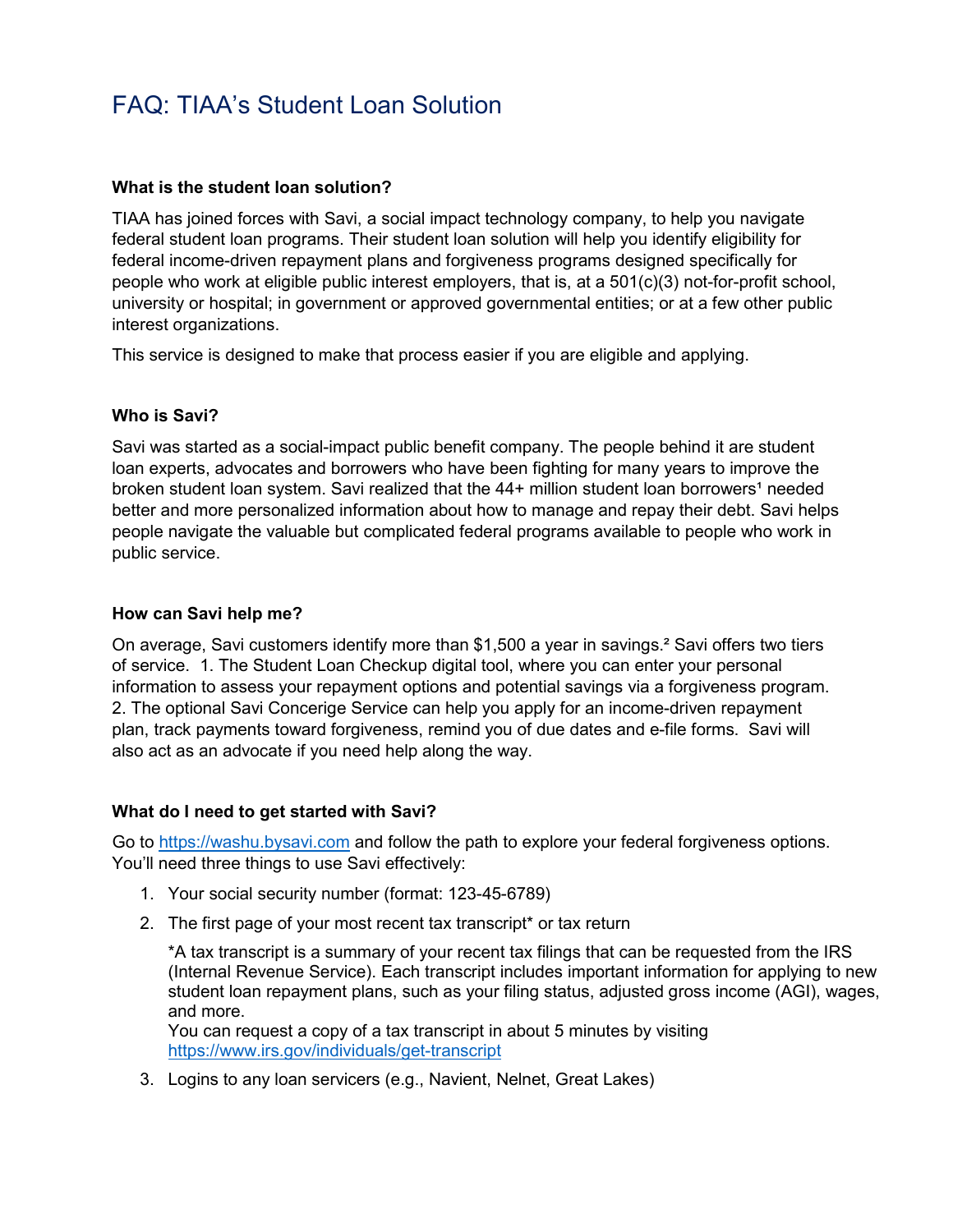# FAQ: TIAA's Student Loan Solution

#### **What is the student loan solution?**

TIAA has joined forces with Savi, a social impact technology company, to help you navigate federal student loan programs. Their student loan solution will help you identify eligibility for federal income-driven repayment plans and forgiveness programs designed specifically for people who work at eligible public interest employers, that is, at a 501(c)(3) not-for-profit school, university or hospital; in government or approved governmental entities; or at a few other public interest organizations.

This service is designed to make that process easier if you are eligible and applying.

#### **Who is Savi?**

Savi was started as a social-impact public benefit company. The people behind it are student loan experts, advocates and borrowers who have been fighting for many years to improve the broken student loan system. Savi realized that the 44+ million student loan borrowers<sup>1</sup> needed better and more personalized information about how to manage and repay their debt. Savi helps people navigate the valuable but complicated federal programs available to people who work in public service.

#### **How can Savi help me?**

On average, Savi customers identify more than \$1,500 a year in savings.<sup>2</sup> Savi offers two tiers of service. 1. The Student Loan Checkup digital tool, where you can enter your personal information to assess your repayment options and potential savings via a forgiveness program. 2. The optional Savi Concerige Service can help you apply for an income-driven repayment plan, track payments toward forgiveness, remind you of due dates and e-file forms. Savi will also act as an advocate if you need help along the way.

#### **What do I need to get started with Savi?**

Go to [https://washu.bysavi.com](https://washu.bysavi.com/) and follow the path to explore your federal forgiveness options. You'll need three things to use Savi effectively:

- 1. Your social security number (format: 123-45-6789)
- 2. The first page of your most recent tax transcript\* or tax return

\*A tax transcript is a summary of your recent tax filings that can be requested from the IRS (Internal Revenue Service). Each transcript includes important information for applying to new student loan repayment plans, such as your filing status, adjusted gross income (AGI), wages, and more.

You can request a copy of a tax transcript in about 5 minutes by visiting <https://www.irs.gov/individuals/get-transcript>

3. Logins to any loan servicers (e.g., Navient, Nelnet, Great Lakes)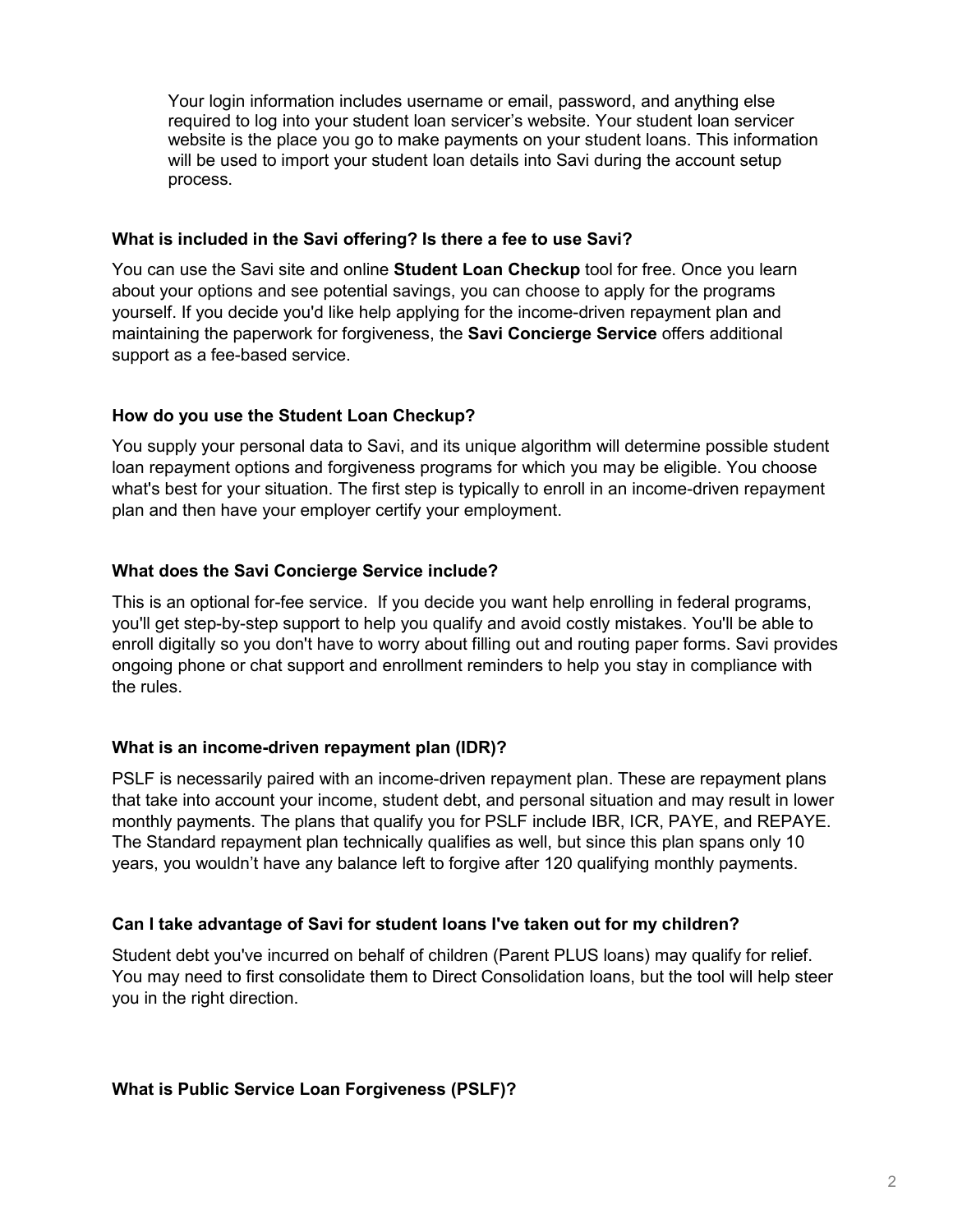Your login information includes username or email, password, and anything else required to log into your student loan servicer's website. Your student loan servicer website is the place you go to make payments on your student loans. This information will be used to import your student loan details into Savi during the account setup process.

### **What is included in the Savi offering? Is there a fee to use Savi?**

You can use the Savi site and online **Student Loan Checkup** tool for free. Once you learn about your options and see potential savings, you can choose to apply for the programs yourself. If you decide you'd like help applying for the income-driven repayment plan and maintaining the paperwork for forgiveness, the **Savi Concierge Service** offers additional support as a fee-based service.

# **How do you use the Student Loan Checkup?**

You supply your personal data to Savi, and its unique algorithm will determine possible student loan repayment options and forgiveness programs for which you may be eligible. You choose what's best for your situation. The first step is typically to enroll in an income-driven repayment plan and then have your employer certify your employment.

### **What does the Savi Concierge Service include?**

This is an optional for-fee service. If you decide you want help enrolling in federal programs, you'll get step-by-step support to help you qualify and avoid costly mistakes. You'll be able to enroll digitally so you don't have to worry about filling out and routing paper forms. Savi provides ongoing phone or chat support and enrollment reminders to help you stay in compliance with the rules.

# **What is an income-driven repayment plan (IDR)?**

PSLF is necessarily paired with an income-driven repayment plan. These are repayment plans that take into account your income, student debt, and personal situation and may result in lower monthly payments. The plans that qualify you for PSLF include IBR, ICR, PAYE, and REPAYE. The Standard repayment plan technically qualifies as well, but since this plan spans only 10 years, you wouldn't have any balance left to forgive after 120 qualifying monthly payments.

#### **Can I take advantage of Savi for student loans I've taken out for my children?**

Student debt you've incurred on behalf of children (Parent PLUS loans) may qualify for relief. You may need to first consolidate them to Direct Consolidation loans, but the tool will help steer you in the right direction.

#### **What is Public Service Loan Forgiveness (PSLF)?**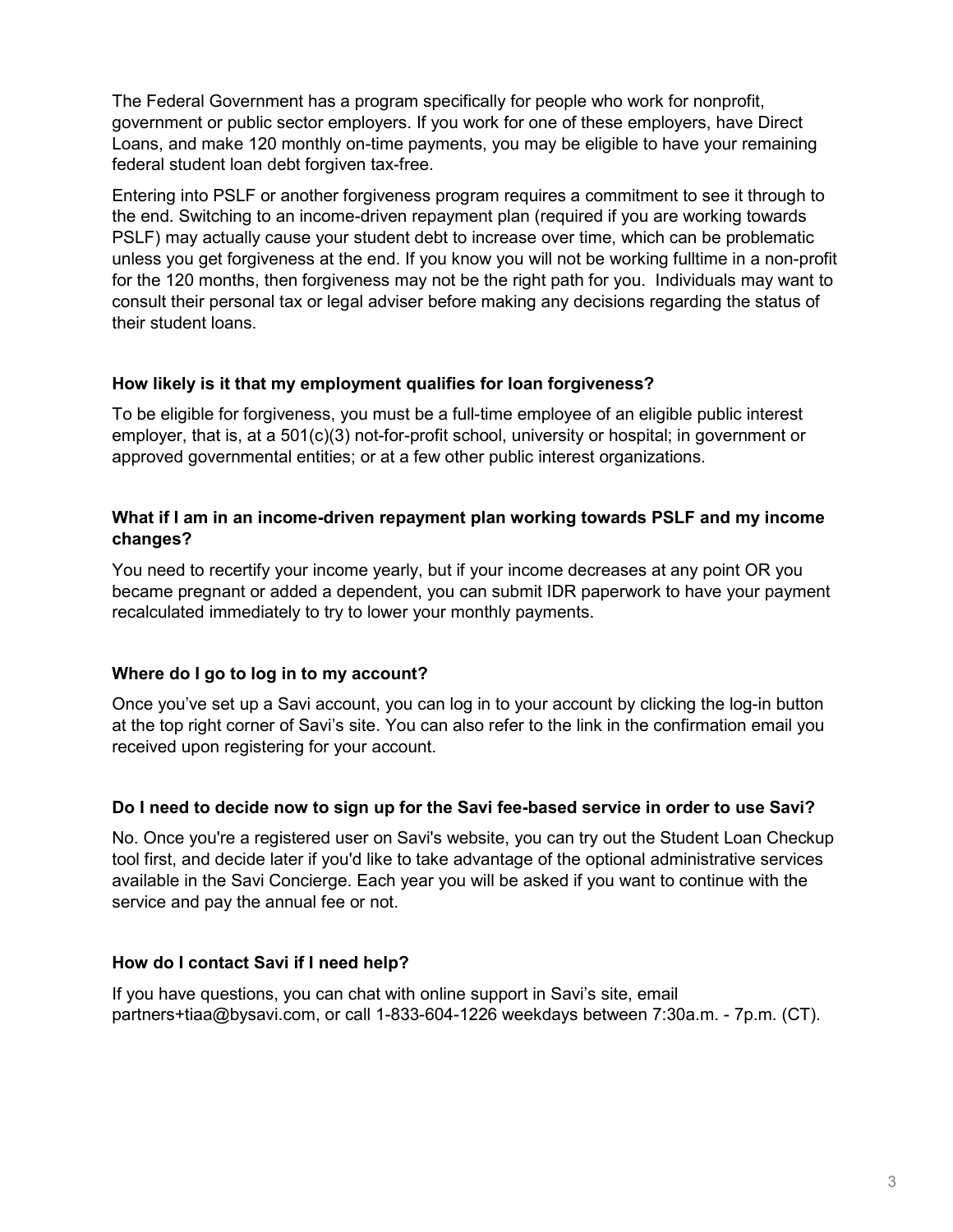The Federal Government has a program specifically for people who work for nonprofit, government or public sector employers. If you work for one of these employers, have Direct Loans, and make 120 monthly on-time payments, you may be eligible to have your remaining federal student loan debt forgiven tax-free.

Entering into PSLF or another forgiveness program requires a commitment to see it through to the end. Switching to an income-driven repayment plan (required if you are working towards PSLF) may actually cause your student debt to increase over time, which can be problematic unless you get forgiveness at the end. If you know you will not be working fulltime in a non-profit for the 120 months, then forgiveness may not be the right path for you. Individuals may want to consult their personal tax or legal adviser before making any decisions regarding the status of their student loans.

### **How likely is it that my employment qualifies for loan forgiveness?**

To be eligible for forgiveness, you must be a full-time employee of an eligible public interest employer, that is, at a 501(c)(3) not-for-profit school, university or hospital; in government or approved governmental entities; or at a few other public interest organizations.

### **What if I am in an income-driven repayment plan working towards PSLF and my income changes?**

You need to recertify your income yearly, but if your income decreases at any point OR you became pregnant or added a dependent, you can submit IDR paperwork to have your payment recalculated immediately to try to lower your monthly payments.

# **Where do I go to log in to my account?**

Once you've set up a Savi account, you can log in to your account by clicking the log-in button at the top right corner of Savi's site. You can also refer to the link in the confirmation email you received upon registering for your account.

# **Do I need to decide now to sign up for the Savi fee-based service in order to use Savi?**

No. Once you're a registered user on Savi's website, you can try out the Student Loan Checkup tool first, and decide later if you'd like to take advantage of the optional administrative services available in the Savi Concierge. Each year you will be asked if you want to continue with the service and pay the annual fee or not.

# **How do I contact Savi if I need help?**

If you have questions, you can chat with online support in Savi's site, email partners+tiaa@bysavi.com, or call [1-833-604-1226](tel:18336041226) weekdays between 7:30a.m. - 7p.m. (CT).